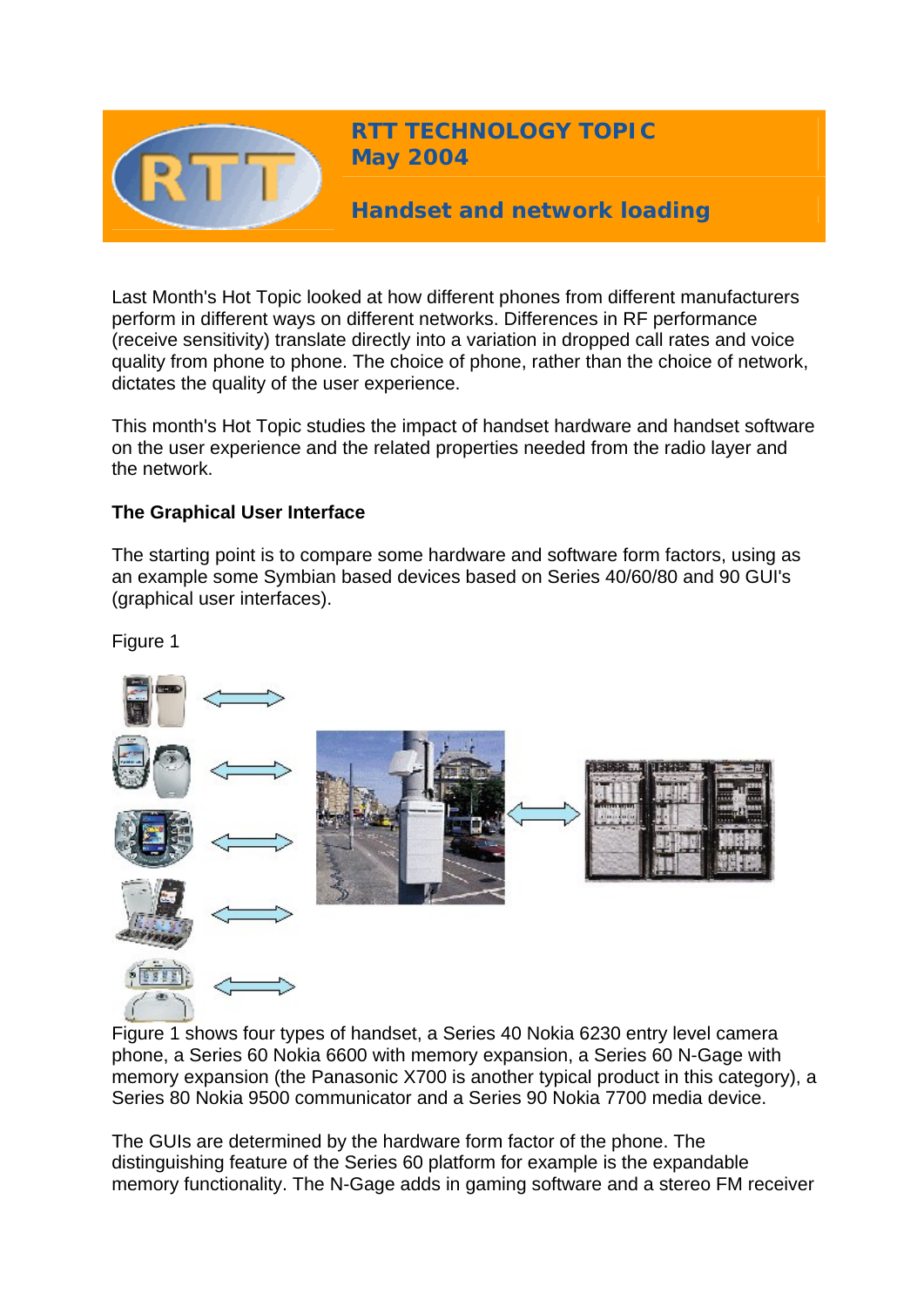

Last Month's Hot Topic looked at how different phones from different manufacturers perform in different ways on different networks. Differences in RF performance (receive sensitivity) translate directly into a variation in dropped call rates and voice quality from phone to phone. The choice of phone, rather than the choice of network, dictates the quality of the user experience.

This month's Hot Topic studies the impact of handset hardware and handset software on the user experience and the related properties needed from the radio layer and the network.

## **The Graphical User Interface**

The starting point is to compare some hardware and software form factors, using as an example some Symbian based devices based on Series 40/60/80 and 90 GUI's (graphical user interfaces).



Figure 1 shows four types of handset, a Series 40 Nokia 6230 entry level camera phone, a Series 60 Nokia 6600 with memory expansion, a Series 60 N-Gage with memory expansion (the Panasonic X700 is another typical product in this category), a Series 80 Nokia 9500 communicator and a Series 90 Nokia 7700 media device.

The GUIs are determined by the hardware form factor of the phone. The distinguishing feature of the Series 60 platform for example is the expandable memory functionality. The N-Gage adds in gaming software and a stereo FM receiver

Figure 1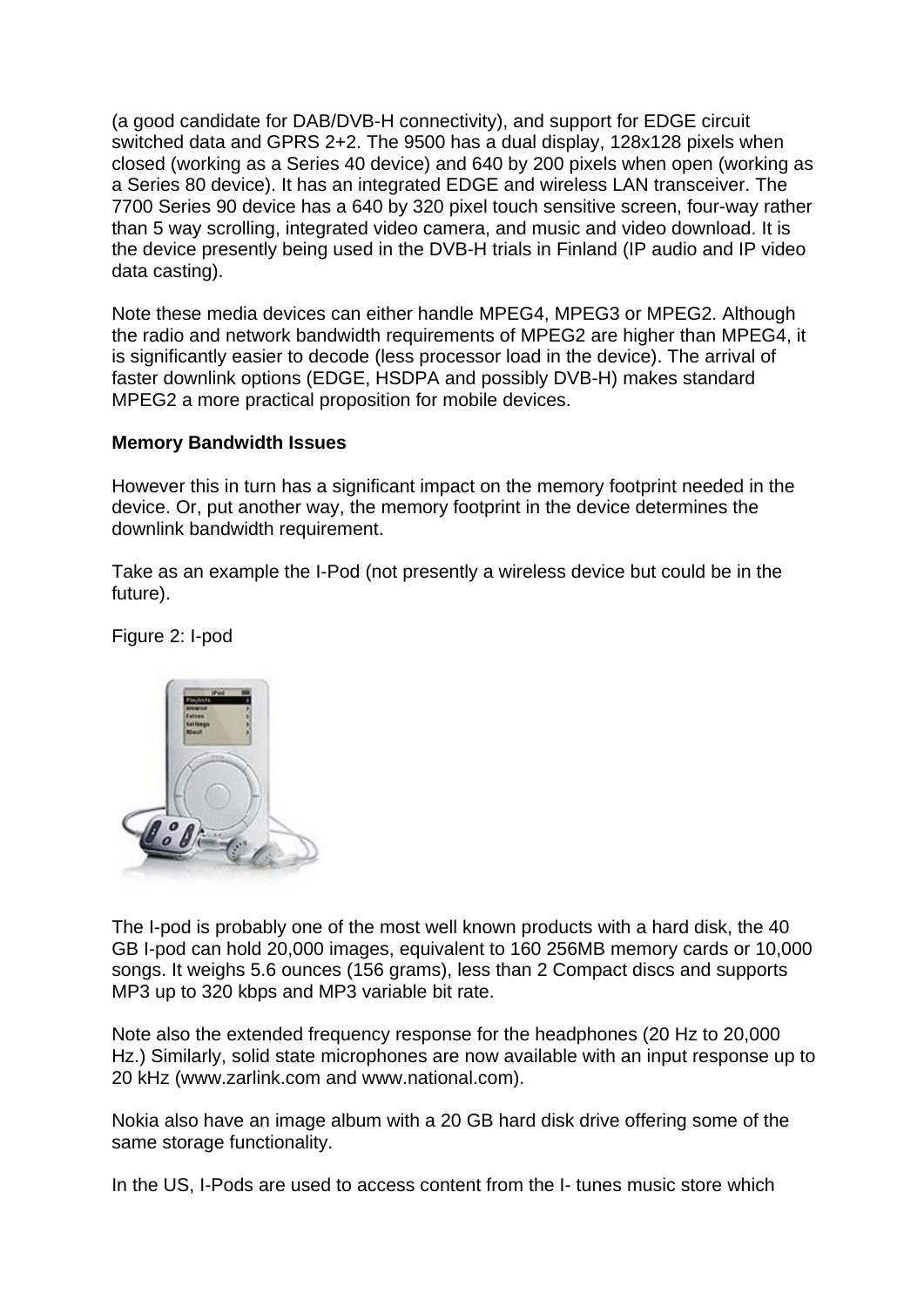(a good candidate for DAB/DVB-H connectivity), and support for EDGE circuit switched data and GPRS 2+2. The 9500 has a dual display, 128x128 pixels when closed (working as a Series 40 device) and 640 by 200 pixels when open (working as a Series 80 device). It has an integrated EDGE and wireless LAN transceiver. The 7700 Series 90 device has a 640 by 320 pixel touch sensitive screen, four-way rather than 5 way scrolling, integrated video camera, and music and video download. It is the device presently being used in the DVB-H trials in Finland (IP audio and IP video data casting).

Note these media devices can either handle MPEG4, MPEG3 or MPEG2. Although the radio and network bandwidth requirements of MPEG2 are higher than MPEG4, it is significantly easier to decode (less processor load in the device). The arrival of faster downlink options (EDGE, HSDPA and possibly DVB-H) makes standard MPEG2 a more practical proposition for mobile devices.

## **Memory Bandwidth Issues**

However this in turn has a significant impact on the memory footprint needed in the device. Or, put another way, the memory footprint in the device determines the downlink bandwidth requirement.

Take as an example the I-Pod (not presently a wireless device but could be in the future).

Figure 2: I-pod



The I-pod is probably one of the most well known products with a hard disk, the 40 GB I-pod can hold 20,000 images, equivalent to 160 256MB memory cards or 10,000 songs. It weighs 5.6 ounces (156 grams), less than 2 Compact discs and supports MP3 up to 320 kbps and MP3 variable bit rate.

Note also the extended frequency response for the headphones (20 Hz to 20,000 Hz.) Similarly, solid state microphones are now available with an input response up to 20 kHz (www.zarlink.com and www.national.com).

Nokia also have an image album with a 20 GB hard disk drive offering some of the same storage functionality.

In the US, I-Pods are used to access content from the I- tunes music store which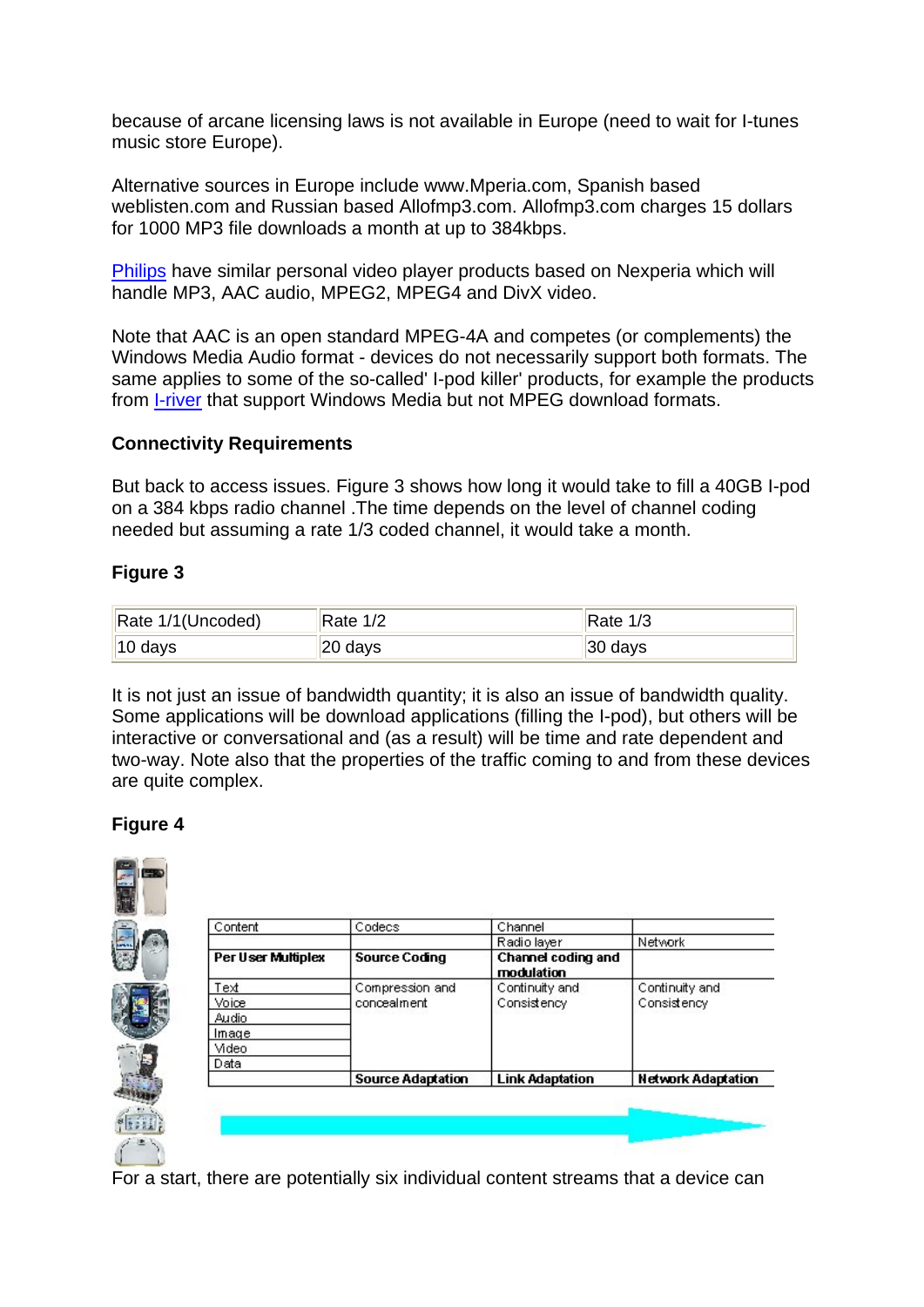because of arcane licensing laws is not available in Europe (need to wait for I-tunes music store Europe).

Alternative sources in Europe include www.Mperia.com, Spanish based weblisten.com and Russian based Allofmp3.com. Allofmp3.com charges 15 dollars for 1000 MP3 file downloads a month at up to 384kbps.

[Philips](http://www.semiconductors.philips.com/) have similar personal video player products based on Nexperia which will handle MP3, AAC audio, MPEG2, MPEG4 and DivX video.

Note that AAC is an open standard MPEG-4A and competes (or complements) the Windows Media Audio format - devices do not necessarily support both formats. The same applies to some of the so-called' I-pod killer' products, for example the products from [I-river](http://www.iriver.com/) that support Windows Media but not MPEG download formats.

## **Connectivity Requirements**

But back to access issues. Figure 3 shows how long it would take to fill a 40GB I-pod on a 384 kbps radio channel .The time depends on the level of channel coding needed but assuming a rate 1/3 coded channel, it would take a month.

# **Figure 3**

| Rate 1/1 (Uncoded)  | Rate $1/2$ | Rate 1/3            |
|---------------------|------------|---------------------|
| $\parallel$ 10 days | ,∣20 days  | $ 30 \text{ days} $ |

It is not just an issue of bandwidth quantity; it is also an issue of bandwidth quality. Some applications will be download applications (filling the I-pod), but others will be interactive or conversational and (as a result) will be time and rate dependent and two-way. Note also that the properties of the traffic coming to and from these devices are quite complex.

# **Figure 4**



For a start, there are potentially six individual content streams that a device can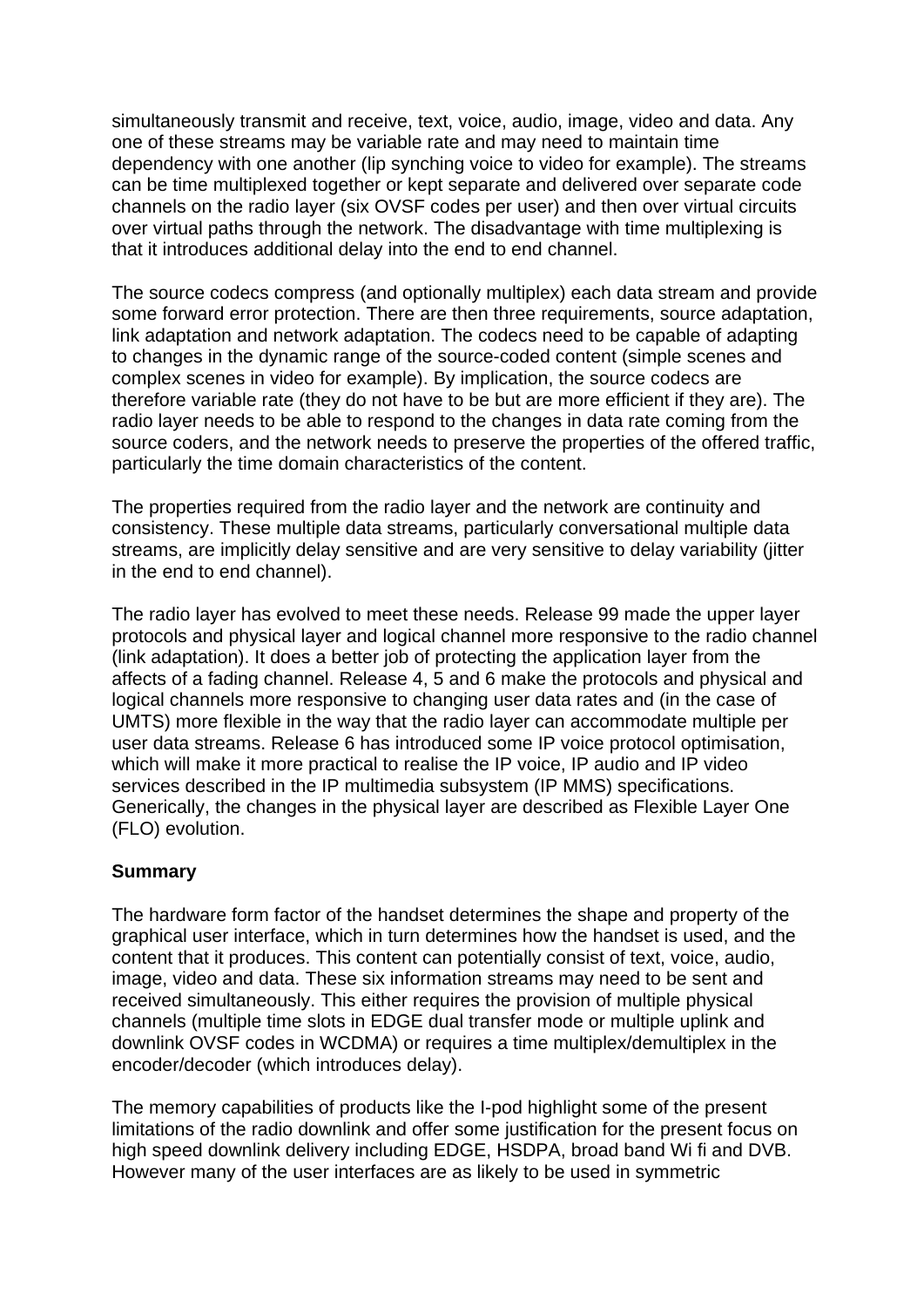simultaneously transmit and receive, text, voice, audio, image, video and data. Any one of these streams may be variable rate and may need to maintain time dependency with one another (lip synching voice to video for example). The streams can be time multiplexed together or kept separate and delivered over separate code channels on the radio layer (six OVSF codes per user) and then over virtual circuits over virtual paths through the network. The disadvantage with time multiplexing is that it introduces additional delay into the end to end channel.

The source codecs compress (and optionally multiplex) each data stream and provide some forward error protection. There are then three requirements, source adaptation, link adaptation and network adaptation. The codecs need to be capable of adapting to changes in the dynamic range of the source-coded content (simple scenes and complex scenes in video for example). By implication, the source codecs are therefore variable rate (they do not have to be but are more efficient if they are). The radio layer needs to be able to respond to the changes in data rate coming from the source coders, and the network needs to preserve the properties of the offered traffic, particularly the time domain characteristics of the content.

The properties required from the radio layer and the network are continuity and consistency. These multiple data streams, particularly conversational multiple data streams, are implicitly delay sensitive and are very sensitive to delay variability (jitter in the end to end channel).

The radio layer has evolved to meet these needs. Release 99 made the upper layer protocols and physical layer and logical channel more responsive to the radio channel (link adaptation). It does a better job of protecting the application layer from the affects of a fading channel. Release 4, 5 and 6 make the protocols and physical and logical channels more responsive to changing user data rates and (in the case of UMTS) more flexible in the way that the radio layer can accommodate multiple per user data streams. Release 6 has introduced some IP voice protocol optimisation, which will make it more practical to realise the IP voice, IP audio and IP video services described in the IP multimedia subsystem (IP MMS) specifications. Generically, the changes in the physical layer are described as Flexible Layer One (FLO) evolution.

## **Summary**

The hardware form factor of the handset determines the shape and property of the graphical user interface, which in turn determines how the handset is used, and the content that it produces. This content can potentially consist of text, voice, audio, image, video and data. These six information streams may need to be sent and received simultaneously. This either requires the provision of multiple physical channels (multiple time slots in EDGE dual transfer mode or multiple uplink and downlink OVSF codes in WCDMA) or requires a time multiplex/demultiplex in the encoder/decoder (which introduces delay).

The memory capabilities of products like the I-pod highlight some of the present limitations of the radio downlink and offer some justification for the present focus on high speed downlink delivery including EDGE, HSDPA, broad band Wi fi and DVB. However many of the user interfaces are as likely to be used in symmetric